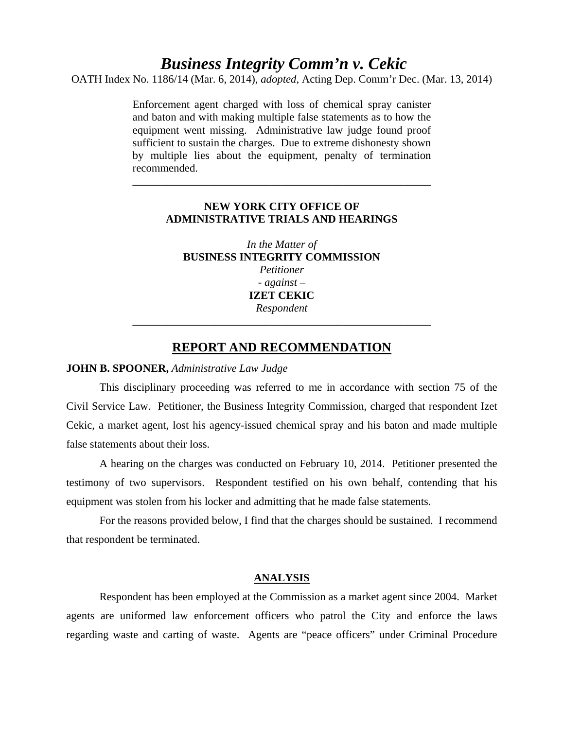# *Business Integrity Comm'n v. Cekic*

OATH Index No. 1186/14 (Mar. 6, 2014), *adopted*, Acting Dep. Comm'r Dec. (Mar. 13, 2014)

Enforcement agent charged with loss of chemical spray canister and baton and with making multiple false statements as to how the equipment went missing. Administrative law judge found proof sufficient to sustain the charges. Due to extreme dishonesty shown by multiple lies about the equipment, penalty of termination recommended.

# **NEW YORK CITY OFFICE OF ADMINISTRATIVE TRIALS AND HEARINGS**

\_\_\_\_\_\_\_\_\_\_\_\_\_\_\_\_\_\_\_\_\_\_\_\_\_\_\_\_\_\_\_\_\_\_\_\_\_\_\_\_\_\_\_\_\_\_\_\_\_\_\_\_\_\_

*In the Matter of* **BUSINESS INTEGRITY COMMISSION**  *Petitioner - against –*  **IZET CEKIC**  *Respondent*

# **REPORT AND RECOMMENDATION**

\_\_\_\_\_\_\_\_\_\_\_\_\_\_\_\_\_\_\_\_\_\_\_\_\_\_\_\_\_\_\_\_\_\_\_\_\_\_\_\_\_\_\_\_\_\_\_\_\_\_\_\_\_\_

## **JOHN B. SPOONER,** *Administrative Law Judge*

 This disciplinary proceeding was referred to me in accordance with section 75 of the Civil Service Law. Petitioner, the Business Integrity Commission, charged that respondent Izet Cekic, a market agent, lost his agency-issued chemical spray and his baton and made multiple false statements about their loss.

 A hearing on the charges was conducted on February 10, 2014. Petitioner presented the testimony of two supervisors. Respondent testified on his own behalf, contending that his equipment was stolen from his locker and admitting that he made false statements.

 For the reasons provided below, I find that the charges should be sustained. I recommend that respondent be terminated.

### **ANALYSIS**

Respondent has been employed at the Commission as a market agent since 2004. Market agents are uniformed law enforcement officers who patrol the City and enforce the laws regarding waste and carting of waste. Agents are "peace officers" under Criminal Procedure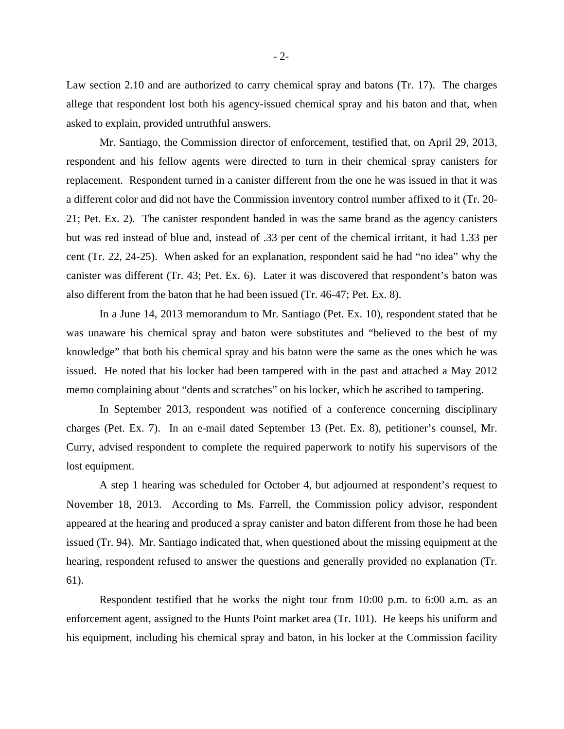Law section 2.10 and are authorized to carry chemical spray and batons (Tr. 17). The charges allege that respondent lost both his agency-issued chemical spray and his baton and that, when asked to explain, provided untruthful answers.

Mr. Santiago, the Commission director of enforcement, testified that, on April 29, 2013, respondent and his fellow agents were directed to turn in their chemical spray canisters for replacement. Respondent turned in a canister different from the one he was issued in that it was a different color and did not have the Commission inventory control number affixed to it (Tr. 20- 21; Pet. Ex. 2). The canister respondent handed in was the same brand as the agency canisters but was red instead of blue and, instead of .33 per cent of the chemical irritant, it had 1.33 per cent (Tr. 22, 24-25). When asked for an explanation, respondent said he had "no idea" why the canister was different (Tr. 43; Pet. Ex. 6). Later it was discovered that respondent's baton was also different from the baton that he had been issued (Tr. 46-47; Pet. Ex. 8).

In a June 14, 2013 memorandum to Mr. Santiago (Pet. Ex. 10), respondent stated that he was unaware his chemical spray and baton were substitutes and "believed to the best of my knowledge" that both his chemical spray and his baton were the same as the ones which he was issued. He noted that his locker had been tampered with in the past and attached a May 2012 memo complaining about "dents and scratches" on his locker, which he ascribed to tampering.

In September 2013, respondent was notified of a conference concerning disciplinary charges (Pet. Ex. 7). In an e-mail dated September 13 (Pet. Ex. 8), petitioner's counsel, Mr. Curry, advised respondent to complete the required paperwork to notify his supervisors of the lost equipment.

A step 1 hearing was scheduled for October 4, but adjourned at respondent's request to November 18, 2013. According to Ms. Farrell, the Commission policy advisor, respondent appeared at the hearing and produced a spray canister and baton different from those he had been issued (Tr. 94). Mr. Santiago indicated that, when questioned about the missing equipment at the hearing, respondent refused to answer the questions and generally provided no explanation (Tr. 61).

Respondent testified that he works the night tour from 10:00 p.m. to 6:00 a.m. as an enforcement agent, assigned to the Hunts Point market area (Tr. 101). He keeps his uniform and his equipment, including his chemical spray and baton, in his locker at the Commission facility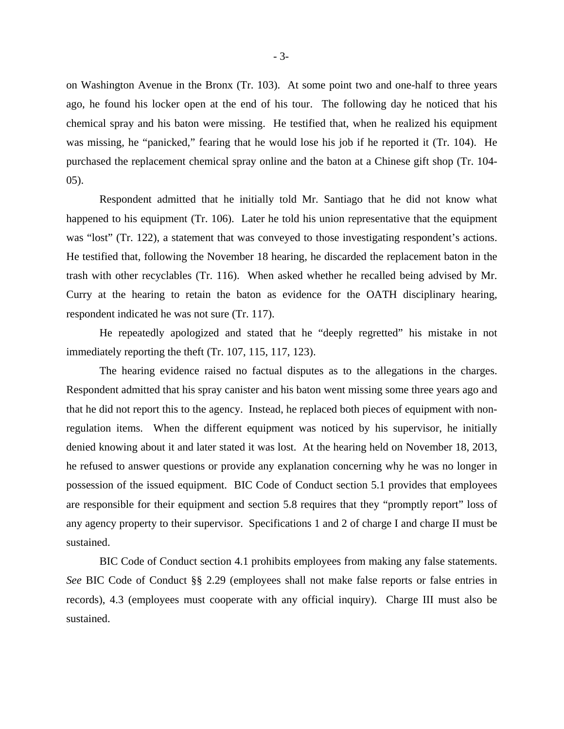on Washington Avenue in the Bronx (Tr. 103). At some point two and one-half to three years ago, he found his locker open at the end of his tour. The following day he noticed that his chemical spray and his baton were missing. He testified that, when he realized his equipment was missing, he "panicked," fearing that he would lose his job if he reported it (Tr. 104). He purchased the replacement chemical spray online and the baton at a Chinese gift shop (Tr. 104- 05).

Respondent admitted that he initially told Mr. Santiago that he did not know what happened to his equipment (Tr. 106). Later he told his union representative that the equipment was "lost" (Tr. 122), a statement that was conveyed to those investigating respondent's actions. He testified that, following the November 18 hearing, he discarded the replacement baton in the trash with other recyclables (Tr. 116). When asked whether he recalled being advised by Mr. Curry at the hearing to retain the baton as evidence for the OATH disciplinary hearing, respondent indicated he was not sure (Tr. 117).

He repeatedly apologized and stated that he "deeply regretted" his mistake in not immediately reporting the theft (Tr. 107, 115, 117, 123).

The hearing evidence raised no factual disputes as to the allegations in the charges. Respondent admitted that his spray canister and his baton went missing some three years ago and that he did not report this to the agency. Instead, he replaced both pieces of equipment with nonregulation items. When the different equipment was noticed by his supervisor, he initially denied knowing about it and later stated it was lost. At the hearing held on November 18, 2013, he refused to answer questions or provide any explanation concerning why he was no longer in possession of the issued equipment. BIC Code of Conduct section 5.1 provides that employees are responsible for their equipment and section 5.8 requires that they "promptly report" loss of any agency property to their supervisor. Specifications 1 and 2 of charge I and charge II must be sustained.

BIC Code of Conduct section 4.1 prohibits employees from making any false statements. *See* BIC Code of Conduct §§ 2.29 (employees shall not make false reports or false entries in records), 4.3 (employees must cooperate with any official inquiry). Charge III must also be sustained.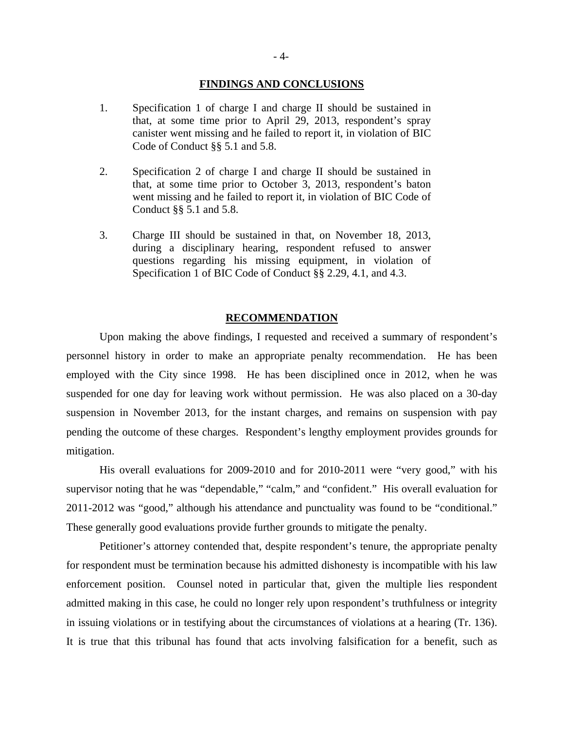### **FINDINGS AND CONCLUSIONS**

- 1. Specification 1 of charge I and charge II should be sustained in that, at some time prior to April 29, 2013, respondent's spray canister went missing and he failed to report it, in violation of BIC Code of Conduct §§ 5.1 and 5.8.
- 2. Specification 2 of charge I and charge II should be sustained in that, at some time prior to October 3, 2013, respondent's baton went missing and he failed to report it, in violation of BIC Code of Conduct §§ 5.1 and 5.8.
- 3. Charge III should be sustained in that, on November 18, 2013, during a disciplinary hearing, respondent refused to answer questions regarding his missing equipment, in violation of Specification 1 of BIC Code of Conduct §§ 2.29, 4.1, and 4.3.

## **RECOMMENDATION**

 Upon making the above findings, I requested and received a summary of respondent's personnel history in order to make an appropriate penalty recommendation. He has been employed with the City since 1998. He has been disciplined once in 2012, when he was suspended for one day for leaving work without permission. He was also placed on a 30-day suspension in November 2013, for the instant charges, and remains on suspension with pay pending the outcome of these charges. Respondent's lengthy employment provides grounds for mitigation.

 His overall evaluations for 2009-2010 and for 2010-2011 were "very good," with his supervisor noting that he was "dependable," "calm," and "confident." His overall evaluation for 2011-2012 was "good," although his attendance and punctuality was found to be "conditional." These generally good evaluations provide further grounds to mitigate the penalty.

 Petitioner's attorney contended that, despite respondent's tenure, the appropriate penalty for respondent must be termination because his admitted dishonesty is incompatible with his law enforcement position. Counsel noted in particular that, given the multiple lies respondent admitted making in this case, he could no longer rely upon respondent's truthfulness or integrity in issuing violations or in testifying about the circumstances of violations at a hearing (Tr. 136). It is true that this tribunal has found that acts involving falsification for a benefit, such as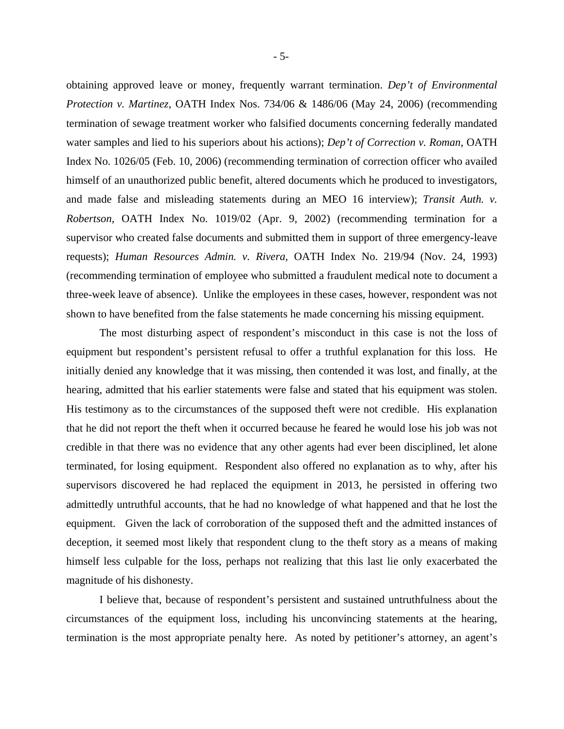obtaining approved leave or money, frequently warrant termination. *Dep't of Environmental Protection v. Martinez*, OATH Index Nos. 734/06 & 1486/06 (May 24, 2006) (recommending termination of sewage treatment worker who falsified documents concerning federally mandated water samples and lied to his superiors about his actions); *Dep't of Correction v. Roman*, OATH Index No. 1026/05 (Feb. 10, 2006) (recommending termination of correction officer who availed himself of an unauthorized public benefit, altered documents which he produced to investigators, and made false and misleading statements during an MEO 16 interview); *Transit Auth. v. Robertson*, OATH Index No. 1019/02 (Apr. 9, 2002) (recommending termination for a supervisor who created false documents and submitted them in support of three emergency-leave requests); *Human Resources Admin. v. Rivera,* OATH Index No. 219/94 (Nov. 24, 1993) (recommending termination of employee who submitted a fraudulent medical note to document a three-week leave of absence). Unlike the employees in these cases, however, respondent was not shown to have benefited from the false statements he made concerning his missing equipment.

 The most disturbing aspect of respondent's misconduct in this case is not the loss of equipment but respondent's persistent refusal to offer a truthful explanation for this loss. He initially denied any knowledge that it was missing, then contended it was lost, and finally, at the hearing, admitted that his earlier statements were false and stated that his equipment was stolen. His testimony as to the circumstances of the supposed theft were not credible. His explanation that he did not report the theft when it occurred because he feared he would lose his job was not credible in that there was no evidence that any other agents had ever been disciplined, let alone terminated, for losing equipment. Respondent also offered no explanation as to why, after his supervisors discovered he had replaced the equipment in 2013, he persisted in offering two admittedly untruthful accounts, that he had no knowledge of what happened and that he lost the equipment. Given the lack of corroboration of the supposed theft and the admitted instances of deception, it seemed most likely that respondent clung to the theft story as a means of making himself less culpable for the loss, perhaps not realizing that this last lie only exacerbated the magnitude of his dishonesty.

 I believe that, because of respondent's persistent and sustained untruthfulness about the circumstances of the equipment loss, including his unconvincing statements at the hearing, termination is the most appropriate penalty here. As noted by petitioner's attorney, an agent's